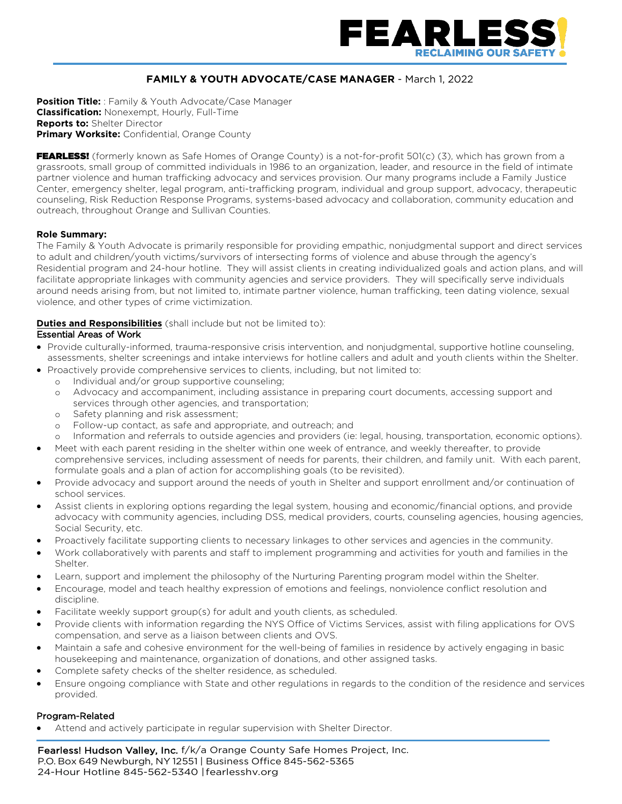

# **FAMILY & YOUTH ADVOCATE/CASE MANAGER** - March 1, 2022

**Position Title:** : Family & Youth Advocate/Case Manager **Classification:** Nonexempt, Hourly, Full-Time **Reports to:** Shelter Director **Primary Worksite:** Confidential, Orange County

FEARLESS! (formerly known as Safe Homes of Orange County) is a not-for-profit 501(c) (3), which has grown from a grassroots, small group of committed individuals in 1986 to an organization, leader, and resource in the field of intimate partner violence and human trafficking advocacy and services provision. Our many programs include a Family Justice Center, emergency shelter, legal program, anti-trafficking program, individual and group support, advocacy, therapeutic counseling, Risk Reduction Response Programs, systems-based advocacy and collaboration, community education and outreach, throughout Orange and Sullivan Counties.

#### **Role Summary:**

The Family & Youth Advocate is primarily responsible for providing empathic, nonjudgmental support and direct services to adult and children/youth victims/survivors of intersecting forms of violence and abuse through the agency's Residential program and 24-hour hotline. They will assist clients in creating individualized goals and action plans, and will facilitate appropriate linkages with community agencies and service providers. They will specifically serve individuals around needs arising from, but not limited to, intimate partner violence, human trafficking, teen dating violence, sexual violence, and other types of crime victimization.

## **Duties and Responsibilities** (shall include but not be limited to):

## Essential Areas of Work

- Provide culturally-informed, trauma-responsive crisis intervention, and nonjudgmental, supportive hotline counseling, assessments, shelter screenings and intake interviews for hotline callers and adult and youth clients within the Shelter.
- Proactively provide comprehensive services to clients, including, but not limited to:
	- o Individual and/or group supportive counseling;
	- o Advocacy and accompaniment, including assistance in preparing court documents, accessing support and services through other agencies, and transportation;
	- o Safety planning and risk assessment;
	- o Follow-up contact, as safe and appropriate, and outreach; and
	- o Information and referrals to outside agencies and providers (ie: legal, housing, transportation, economic options).
- Meet with each parent residing in the shelter within one week of entrance, and weekly thereafter, to provide comprehensive services, including assessment of needs for parents, their children, and family unit. With each parent, formulate goals and a plan of action for accomplishing goals (to be revisited).
- Provide advocacy and support around the needs of youth in Shelter and support enrollment and/or continuation of school services.
- Assist clients in exploring options regarding the legal system, housing and economic/financial options, and provide advocacy with community agencies, including DSS, medical providers, courts, counseling agencies, housing agencies, Social Security, etc.
- Proactively facilitate supporting clients to necessary linkages to other services and agencies in the community.
- Work collaboratively with parents and staff to implement programming and activities for youth and families in the Shelter.
- Learn, support and implement the philosophy of the Nurturing Parenting program model within the Shelter.
- Encourage, model and teach healthy expression of emotions and feelings, nonviolence conflict resolution and discipline.
- Facilitate weekly support group(s) for adult and youth clients, as scheduled.
- Provide clients with information regarding the NYS Office of Victims Services, assist with filing applications for OVS compensation, and serve as a liaison between clients and OVS.
- Maintain a safe and cohesive environment for the well-being of families in residence by actively engaging in basic housekeeping and maintenance, organization of donations, and other assigned tasks.
- Complete safety checks of the shelter residence, as scheduled.
- Ensure ongoing compliance with State and other regulations in regards to the condition of the residence and services provided.

#### Program-Related

• Attend and actively participate in regular supervision with Shelter Director.

Fearless! Hudson Valley, Inc. f/k/a Orange County Safe Homes Project, Inc. P.O. Box 649 Newburgh, NY 12551 | Business Office 845-562-5365 24-Hour Hotline 845-562-5340 |fearlesshv.org